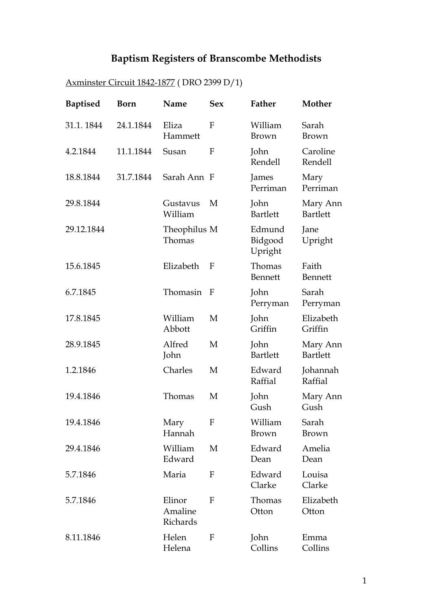## **Baptism Registers of Branscombe Methodists**

| <b>Baptised</b> | <b>Born</b> | Name                          | <b>Sex</b>   | Father                       | Mother                      |
|-----------------|-------------|-------------------------------|--------------|------------------------------|-----------------------------|
| 31.1.1844       | 24.1.1844   | Eliza<br>Hammett              | F            | William<br>Brown             | Sarah<br>Brown              |
| 4.2.1844        | 11.1.1844   | Susan                         | F            | John<br>Rendell              | Caroline<br>Rendell         |
| 18.8.1844       | 31.7.1844   | Sarah Ann F                   |              | James<br>Perriman            | Mary<br>Perriman            |
| 29.8.1844       |             | Gustavus<br>William           | M            | John<br><b>Bartlett</b>      | Mary Ann<br><b>Bartlett</b> |
| 29.12.1844      |             | Theophilus M<br>Thomas        |              | Edmund<br>Bidgood<br>Upright | Jane<br>Upright             |
| 15.6.1845       |             | Elizabeth                     | F            | Thomas<br><b>Bennett</b>     | Faith<br>Bennett            |
| 6.7.1845        |             | Thomasin                      | $\mathbf F$  | John<br>Perryman             | Sarah<br>Perryman           |
| 17.8.1845       |             | William<br>Abbott             | M            | John<br>Griffin              | Elizabeth<br>Griffin        |
| 28.9.1845       |             | Alfred<br>John                | M            | John<br><b>Bartlett</b>      | Mary Ann<br><b>Bartlett</b> |
| 1.2.1846        |             | Charles                       | M            | Edward<br>Raffial            | Johannah<br>Raffial         |
| 19.4.1846       |             | Thomas                        | M            | John<br>Gush                 | Mary Ann<br>Gush            |
| 19.4.1846       |             | Mary<br>Hannah                | $\mathbf{F}$ | William<br>Brown             | Sarah<br>Brown              |
| 29.4.1846       |             | William<br>Edward             | M            | Edward<br>Dean               | Amelia<br>Dean              |
| 5.7.1846        |             | Maria                         | F            | Edward<br>Clarke             | Louisa<br>Clarke            |
| 5.7.1846        |             | Elinor<br>Amaline<br>Richards | F            | Thomas<br>Otton              | Elizabeth<br>Otton          |
| 8.11.1846       |             | Helen<br>Helena               | F            | John<br>Collins              | Emma<br>Collins             |

## Axminster Circuit 1842-1877 ( DRO 2399 D/1)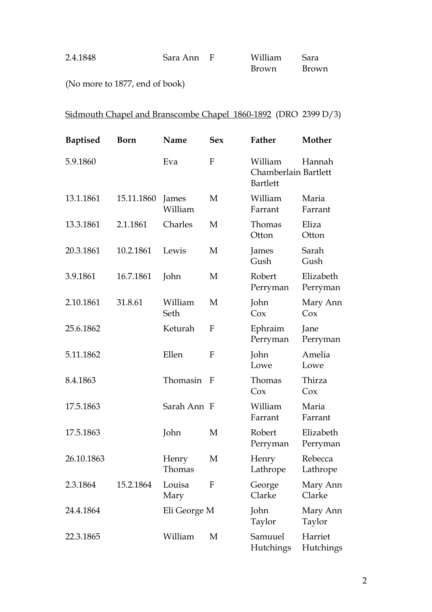| 2.4.1848 | Sara Ann F | William      | Sara         |
|----------|------------|--------------|--------------|
|          |            | <b>Brown</b> | <b>Brown</b> |

(No more to 1877, end of book)

## Sidmouth Chapel and Branscombe Chapel 1860-1892 (DRO 2399 D/3)

| <b>Baptised</b> | Born       | Name             | <b>Sex</b> | Father                                             | Mother                |
|-----------------|------------|------------------|------------|----------------------------------------------------|-----------------------|
| 5.9.1860        |            | Eva              | F          | William<br>Chamberlain Bartlett<br><b>Bartlett</b> | Hannah                |
| 13.1.1861       | 15.11.1860 | James<br>William | M          | William<br>Farrant                                 | Maria<br>Farrant      |
| 13.3.1861       | 2.1.1861   | Charles          | M          | Thomas<br>Otton                                    | Eliza<br>Otton        |
| 20.3.1861       | 10.2.1861  | Lewis            | M          | James<br>Gush                                      | Sarah<br>Gush         |
| 3.9.1861        | 16.7.1861  | John             | M          | Robert<br>Perryman                                 | Elizabeth<br>Perryman |
| 2.10.1861       | 31.8.61    | William<br>Seth  | M          | John<br>Cox                                        | Mary Ann<br>Cox       |
| 25.6.1862       |            | Keturah          | F          | Ephraim<br>Perryman                                | Jane<br>Perryman      |
| 5.11.1862       |            | Ellen            | F          | John<br>Lowe                                       | Amelia<br>Lowe        |
| 8.4.1863        |            | Thomasin F       |            | Thomas<br>Cox                                      | Thirza<br>Cox         |
| 17.5.1863       |            | Sarah Ann F      |            | William<br>Farrant                                 | Maria<br>Farrant      |
| 17.5.1863       |            | John             | M          | Robert<br>Perryman                                 | Elizabeth<br>Perryman |
| 26.10.1863      |            | Henry<br>Thomas  | M          | Henry<br>Lathrope                                  | Rebecca<br>Lathrope   |
| 2.3.1864        | 15.2.1864  | Louisa<br>Mary   | F          | George<br>Clarke                                   | Mary Ann<br>Clarke    |
| 24.4.1864       |            | Eli George M     |            | John<br>Taylor                                     | Mary Ann<br>Taylor    |
| 22.3.1865       |            | William          | M          | Samuuel<br><b>Hutchings</b>                        | Harriet<br>Hutchings  |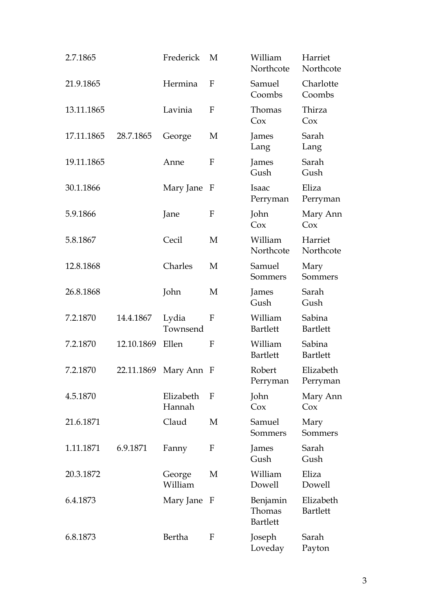| 2.7.1865   |            | Frederick           | M           | William<br>Northcote                  | Harriet<br>Northcote         |
|------------|------------|---------------------|-------------|---------------------------------------|------------------------------|
| 21.9.1865  |            | Hermina             | F           | Samuel<br>Coombs                      | Charlotte<br>Coombs          |
| 13.11.1865 |            | Lavinia             | F           | Thomas<br>Cox                         | Thirza<br>Cox                |
| 17.11.1865 | 28.7.1865  | George              | М           | James<br>Lang                         | Sarah<br>Lang                |
| 19.11.1865 |            | Anne                | F           | James<br>Gush                         | Sarah<br>Gush                |
| 30.1.1866  |            | Mary Jane           | F           | <b>Isaac</b><br>Perryman              | Eliza<br>Perryman            |
| 5.9.1866   |            | Jane                | F           | John<br>Cox                           | Mary Ann<br>Cox              |
| 5.8.1867   |            | Cecil               | M           | William<br>Northcote                  | Harriet<br>Northcote         |
| 12.8.1868  |            | Charles             | M           | Samuel<br>Sommers                     | Mary<br>Sommers              |
| 26.8.1868  |            | John                | M           | James<br>Gush                         | Sarah<br>Gush                |
| 7.2.1870   | 14.4.1867  | Lydia<br>Townsend   | F           | William<br><b>Bartlett</b>            | Sabina<br><b>Bartlett</b>    |
| 7.2.1870   | 12.10.1869 | Ellen               | F           | William<br><b>Bartlett</b>            | Sabina<br><b>Bartlett</b>    |
| 7.2.1870   | 22.11.1869 | Mary Ann F          |             | Robert<br>Perryman                    | Elizabeth<br>Perryman        |
| 4.5.1870   |            | Elizabeth<br>Hannah | F           | John<br>Cox                           | Mary Ann<br>Cox              |
| 21.6.1871  |            | Claud               | М           | Samuel<br>Sommers                     | Mary<br>Sommers              |
| 1.11.1871  | 6.9.1871   | Fanny               | F           | James<br>Gush                         | Sarah<br>Gush                |
| 20.3.1872  |            | George<br>William   | M           | William<br>Dowell                     | Eliza<br>Dowell              |
| 6.4.1873   |            | Mary Jane           | $\mathbf F$ | Benjamin<br>Thomas<br><b>Bartlett</b> | Elizabeth<br><b>Bartlett</b> |
| 6.8.1873   |            | Bertha              | F           | Joseph<br>Loveday                     | Sarah<br>Payton              |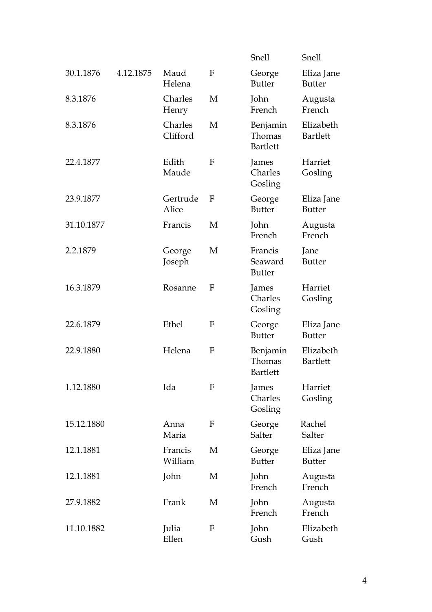|            |           |                     |   | Snell                                 | Snell                        |
|------------|-----------|---------------------|---|---------------------------------------|------------------------------|
| 30.1.1876  | 4.12.1875 | Maud<br>Helena      | F | George<br><b>Butter</b>               | Eliza Jane<br><b>Butter</b>  |
| 8.3.1876   |           | Charles<br>Henry    | M | John<br>French                        | Augusta<br>French            |
| 8.3.1876   |           | Charles<br>Clifford | M | Benjamin<br>Thomas<br><b>Bartlett</b> | Elizabeth<br><b>Bartlett</b> |
| 22.4.1877  |           | Edith<br>Maude      | F | James<br>Charles<br>Gosling           | Harriet<br>Gosling           |
| 23.9.1877  |           | Gertrude<br>Alice   | F | George<br><b>Butter</b>               | Eliza Jane<br><b>Butter</b>  |
| 31.10.1877 |           | Francis             | М | John<br>French                        | Augusta<br>French            |
| 2.2.1879   |           | George<br>Joseph    | M | Francis<br>Seaward<br><b>Butter</b>   | Jane<br><b>Butter</b>        |
| 16.3.1879  |           | Rosanne             | F | James<br>Charles<br>Gosling           | Harriet<br>Gosling           |
| 22.6.1879  |           | Ethel               | F | George<br><b>Butter</b>               | Eliza Jane<br><b>Butter</b>  |
| 22.9.1880  |           | Helena              | F | Benjamin<br>Thomas<br><b>Bartlett</b> | Elizabeth<br><b>Bartlett</b> |
| 1.12.1880  |           | Ida                 | F | James<br>Charles<br>Gosling           | Harriet<br>Gosling           |
| 15.12.1880 |           | Anna<br>Maria       | F | George<br>Salter                      | Rachel<br>Salter             |
| 12.1.1881  |           | Francis<br>William  | M | George<br><b>Butter</b>               | Eliza Jane<br><b>Butter</b>  |
| 12.1.1881  |           | John                | M | John<br>French                        | Augusta<br>French            |
| 27.9.1882  |           | Frank               | M | John<br>French                        | Augusta<br>French            |
| 11.10.1882 |           | Julia<br>Ellen      | F | John<br>Gush                          | Elizabeth<br>Gush            |